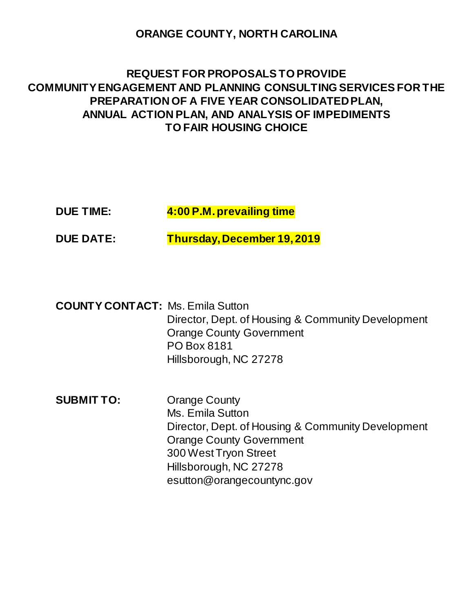## **ORANGE COUNTY, NORTH CAROLINA**

# **REQUEST FOR PROPOSALS TO PROVIDE COMMUNITY ENGAGEMENT AND PLANNING CONSULTING SERVICES FOR THE PREPARATION OF A FIVE YEAR CONSOLIDATED PLAN, ANNUAL ACTION PLAN, AND ANALYSIS OF IMPEDIMENTS TO FAIR HOUSING CHOICE**

| <b>DUE TIME:</b> | 4:00 P.M. prevailing time |
|------------------|---------------------------|
|------------------|---------------------------|

**DUE DATE: Thursday, December 19, 2019**

**COUNTY CONTACT:** Ms. Emila Sutton Director, Dept. of Housing & Community Development Orange County Government PO Box 8181 Hillsborough, NC 27278

**SUBMIT TO:** Orange County Ms. Emila Sutton Director, Dept. of Housing & Community Development Orange County Government 300 West Tryon Street Hillsborough, NC 27278 esutton@orangecountync.gov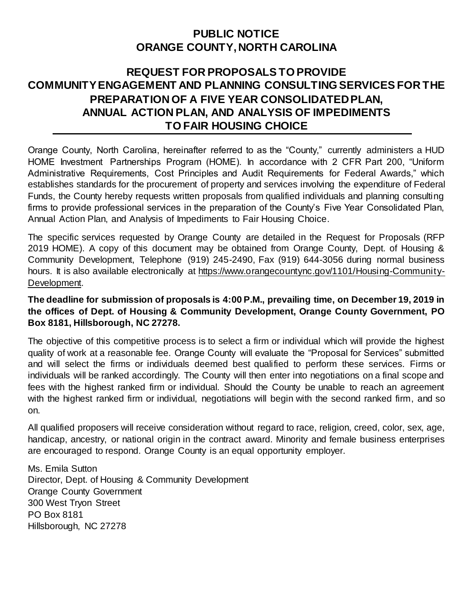# **PUBLIC NOTICE ORANGE COUNTY, NORTH CAROLINA**

## **REQUEST FOR PROPOSALS TO PROVIDE COMMUNITY ENGAGEMENT AND PLANNING CONSULTING SERVICES FOR THE PREPARATION OF A FIVE YEAR CONSOLIDATED PLAN, ANNUAL ACTION PLAN, AND ANALYSIS OF IMPEDIMENTS TO FAIR HOUSING CHOICE**

Orange County, North Carolina, hereinafter referred to as the "County," currently administers a HUD HOME Investment Partnerships Program (HOME). In accordance with 2 CFR Part 200, "Uniform Administrative Requirements, Cost Principles and Audit Requirements for Federal Awards," which establishes standards for the procurement of property and services involving the expenditure of Federal Funds, the County hereby requests written proposals from qualified individuals and planning consulting firms to provide professional services in the preparation of the County's Five Year Consolidated Plan, Annual Action Plan, and Analysis of Impediments to Fair Housing Choice.

The specific services requested by Orange County are detailed in the Request for Proposals (RFP 2019 HOME). A copy of this document may be obtained from Orange County, Dept. of Housing & Community Development, Telephone (919) 245-2490, Fax (919) 644-3056 during normal business hours. It is also available electronically at [https://www.orangecountync.gov/1101/Housing-Community-](https://www.orangecountync.gov/1101/Housing-Community-Development)[Development.](https://www.orangecountync.gov/1101/Housing-Community-Development)

## **The deadline for submission of proposals is 4:00 P.M., prevailing time, on December 19, 2019 in the offices of Dept. of Housing & Community Development, Orange County Government, PO Box 8181, Hillsborough, NC 27278.**

The objective of this competitive process is to select a firm or individual which will provide the highest quality of work at a reasonable fee. Orange County will evaluate the "Proposal for Services" submitted and will select the firms or individuals deemed best qualified to perform these services. Firms or individuals will be ranked accordingly. The County will then enter into negotiations on a final scope and fees with the highest ranked firm or individual. Should the County be unable to reach an agreement with the highest ranked firm or individual, negotiations will begin with the second ranked firm, and so on.

All qualified proposers will receive consideration without regard to race, religion, creed, color, sex, age, handicap, ancestry, or national origin in the contract award. Minority and female business enterprises are encouraged to respond. Orange County is an equal opportunity employer.

Ms. Emila Sutton Director, Dept. of Housing & Community Development Orange County Government 300 West Tryon Street PO Box 8181 Hillsborough, NC 27278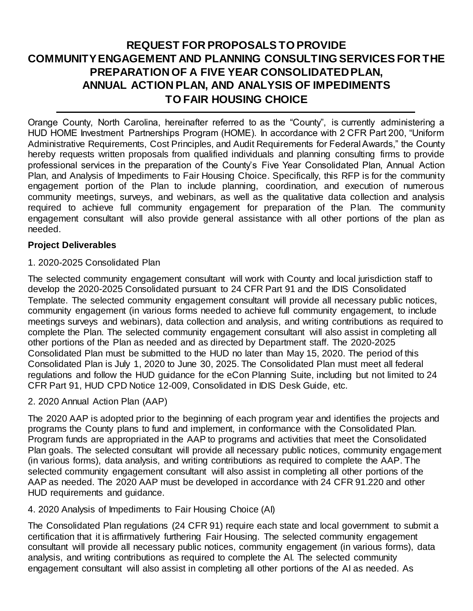# **REQUEST FOR PROPOSALS TO PROVIDE COMMUNITY ENGAGEMENT AND PLANNING CONSULTING SERVICES FOR THE PREPARATION OF A FIVE YEAR CONSOLIDATED PLAN, ANNUAL ACTION PLAN, AND ANALYSIS OF IMPEDIMENTS TO FAIR HOUSING CHOICE**

Orange County, North Carolina, hereinafter referred to as the "County", is currently administering a HUD HOME Investment Partnerships Program (HOME). In accordance with 2 CFR Part 200, "Uniform Administrative Requirements, Cost Principles, and Audit Requirements for Federal Awards," the County hereby requests written proposals from qualified individuals and planning consulting firms to provide professional services in the preparation of the County's Five Year Consolidated Plan, Annual Action Plan, and Analysis of Impediments to Fair Housing Choice. Specifically, this RFP is for the community engagement portion of the Plan to include planning, coordination, and execution of numerous community meetings, surveys, and webinars, as well as the qualitative data collection and analysis required to achieve full community engagement for preparation of the Plan. The community engagement consultant will also provide general assistance with all other portions of the plan as needed.

### **Project Deliverables**

#### 1. 2020-2025 Consolidated Plan

The selected community engagement consultant will work with County and local jurisdiction staff to develop the 2020-2025 Consolidated pursuant to 24 CFR Part 91 and the IDIS Consolidated Template. The selected community engagement consultant will provide all necessary public notices, community engagement (in various forms needed to achieve full community engagement, to include meetings surveys and webinars), data collection and analysis, and writing contributions as required to complete the Plan. The selected community engagement consultant will also assist in completing all other portions of the Plan as needed and as directed by Department staff. The 2020-2025 Consolidated Plan must be submitted to the HUD no later than May 15, 2020. The period of this Consolidated Plan is July 1, 2020 to June 30, 2025. The Consolidated Plan must meet all federal regulations and follow the HUD guidance for the eCon Planning Suite, including but not limited to 24 CFR Part 91, HUD CPD Notice 12-009, Consolidated in IDIS Desk Guide, etc.

### 2. 2020 Annual Action Plan (AAP)

The 2020 AAP is adopted prior to the beginning of each program year and identifies the projects and programs the County plans to fund and implement, in conformance with the Consolidated Plan. Program funds are appropriated in the AAP to programs and activities that meet the Consolidated Plan goals. The selected consultant will provide all necessary public notices, community engagement (in various forms), data analysis, and writing contributions as required to complete the AAP. The selected community engagement consultant will also assist in completing all other portions of the AAP as needed. The 2020 AAP must be developed in accordance with 24 CFR 91.220 and other HUD requirements and guidance.

### 4. 2020 Analysis of Impediments to Fair Housing Choice (AI)

The Consolidated Plan regulations (24 CFR 91) require each state and local government to submit a certification that it is affirmatively furthering Fair Housing. The selected community engagement consultant will provide all necessary public notices, community engagement (in various forms), data analysis, and writing contributions as required to complete the AI. The selected community engagement consultant will also assist in completing all other portions of the AI as needed. As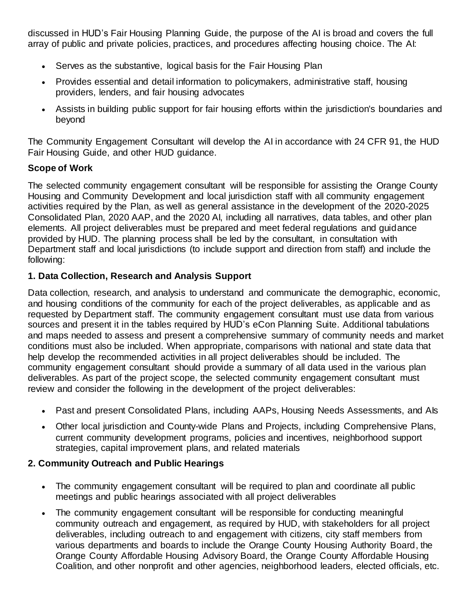discussed in HUD's Fair Housing Planning Guide, the purpose of the AI is broad and covers the full array of public and private policies, practices, and procedures affecting housing choice. The AI:

- Serves as the substantive, logical basis for the Fair Housing Plan
- Provides essential and detail information to policymakers, administrative staff, housing providers, lenders, and fair housing advocates
- Assists in building public support for fair housing efforts within the jurisdiction's boundaries and beyond

The Community Engagement Consultant will develop the AI in accordance with 24 CFR 91, the HUD Fair Housing Guide, and other HUD guidance.

## **Scope of Work**

The selected community engagement consultant will be responsible for assisting the Orange County Housing and Community Development and local jurisdiction staff with all community engagement activities required by the Plan, as well as general assistance in the development of the 2020-2025 Consolidated Plan, 2020 AAP, and the 2020 AI, including all narratives, data tables, and other plan elements. All project deliverables must be prepared and meet federal regulations and guidance provided by HUD. The planning process shall be led by the consultant, in consultation with Department staff and local jurisdictions (to include support and direction from staff) and include the following:

## **1. Data Collection, Research and Analysis Support**

Data collection, research, and analysis to understand and communicate the demographic, economic, and housing conditions of the community for each of the project deliverables, as applicable and as requested by Department staff. The community engagement consultant must use data from various sources and present it in the tables required by HUD's eCon Planning Suite. Additional tabulations and maps needed to assess and present a comprehensive summary of community needs and market conditions must also be included. When appropriate, comparisons with national and state data that help develop the recommended activities in all project deliverables should be included. The community engagement consultant should provide a summary of all data used in the various plan deliverables. As part of the project scope, the selected community engagement consultant must review and consider the following in the development of the project deliverables:

- Past and present Consolidated Plans, including AAPs, Housing Needs Assessments, and Als
- Other local jurisdiction and County-wide Plans and Projects, including Comprehensive Plans, current community development programs, policies and incentives, neighborhood support strategies, capital improvement plans, and related materials

### **2. Community Outreach and Public Hearings**

- The community engagement consultant will be required to plan and coordinate all public meetings and public hearings associated with all project deliverables
- The community engagement consultant will be responsible for conducting meaningful community outreach and engagement, as required by HUD, with stakeholders for all project deliverables, including outreach to and engagement with citizens, city staff members from various departments and boards to include the Orange County Housing Authority Board, the Orange County Affordable Housing Advisory Board, the Orange County Affordable Housing Coalition, and other nonprofit and other agencies, neighborhood leaders, elected officials, etc.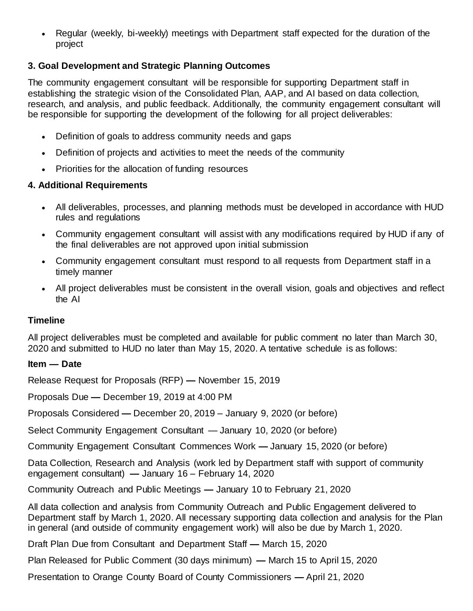Regular (weekly, bi-weekly) meetings with Department staff expected for the duration of the project

## **3. Goal Development and Strategic Planning Outcomes**

The community engagement consultant will be responsible for supporting Department staff in establishing the strategic vision of the Consolidated Plan, AAP, and AI based on data collection, research, and analysis, and public feedback. Additionally, the community engagement consultant will be responsible for supporting the development of the following for all project deliverables:

- Definition of goals to address community needs and gaps
- Definition of projects and activities to meet the needs of the community
- Priorities for the allocation of funding resources

## **4. Additional Requirements**

- All deliverables, processes, and planning methods must be developed in accordance with HUD rules and regulations
- Community engagement consultant will assist with any modifications required by HUD if any of the final deliverables are not approved upon initial submission
- Community engagement consultant must respond to all requests from Department staff in a timely manner
- All project deliverables must be consistent in the overall vision, goals and objectives and reflect the AI

## **Timeline**

All project deliverables must be completed and available for public comment no later than March 30, 2020 and submitted to HUD no later than May 15, 2020. A tentative schedule is as follows:

## **Item — Date**

Release Request for Proposals (RFP) **—** November 15, 2019

Proposals Due **—** December 19, 2019 at 4:00 PM

Proposals Considered **—** December 20, 2019 – January 9, 2020 (or before)

Select Community Engagement Consultant — January 10, 2020 (or before)

Community Engagement Consultant Commences Work **—** January 15, 2020 (or before)

Data Collection, Research and Analysis (work led by Department staff with support of community engagement consultant) **—** January 16 – February 14, 2020

Community Outreach and Public Meetings **—** January 10 to February 21, 2020

All data collection and analysis from Community Outreach and Public Engagement delivered to Department staff by March 1, 2020. All necessary supporting data collection and analysis for the Plan in general (and outside of community engagement work) will also be due by March 1, 2020.

Draft Plan Due from Consultant and Department Staff **—** March 15, 2020

Plan Released for Public Comment (30 days minimum) **—** March 15 to April 15, 2020

Presentation to Orange County Board of County Commissioners **—** April 21, 2020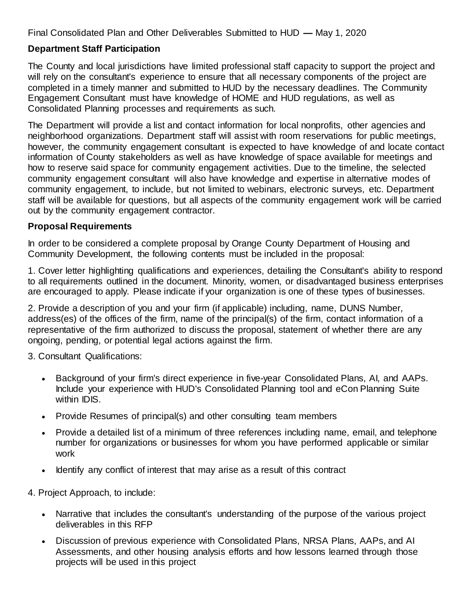Final Consolidated Plan and Other Deliverables Submitted to HUD **—** May 1, 2020

## **Department Staff Participation**

The County and local jurisdictions have limited professional staff capacity to support the project and will rely on the consultant's experience to ensure that all necessary components of the project are completed in a timely manner and submitted to HUD by the necessary deadlines. The Community Engagement Consultant must have knowledge of HOME and HUD regulations, as well as Consolidated Planning processes and requirements as such.

The Department will provide a list and contact information for local nonprofits, other agencies and neighborhood organizations. Department staff will assist with room reservations for public meetings, however, the community engagement consultant is expected to have knowledge of and locate contact information of County stakeholders as well as have knowledge of space available for meetings and how to reserve said space for community engagement activities. Due to the timeline, the selected community engagement consultant will also have knowledge and expertise in alternative modes of community engagement, to include, but not limited to webinars, electronic surveys, etc. Department staff will be available for questions, but all aspects of the community engagement work will be carried out by the community engagement contractor.

### **Proposal Requirements**

In order to be considered a complete proposal by Orange County Department of Housing and Community Development, the following contents must be included in the proposal:

1. Cover letter highlighting qualifications and experiences, detailing the Consultant's ability to respond to all requirements outlined in the document. Minority, women, or disadvantaged business enterprises are encouraged to apply. Please indicate if your organization is one of these types of businesses.

2. Provide a description of you and your firm (if applicable) including, name, DUNS Number, address(es) of the offices of the firm, name of the principal(s) of the firm, contact information of a representative of the firm authorized to discuss the proposal, statement of whether there are any ongoing, pending, or potential legal actions against the firm.

3. Consultant Qualifications:

- Background of your firm's direct experience in five-year Consolidated Plans, AI, and AAPs. Include your experience with HUD's Consolidated Planning tool and eCon Planning Suite within IDIS.
- Provide Resumes of principal(s) and other consulting team members
- Provide a detailed list of a minimum of three references including name, email, and telephone number for organizations or businesses for whom you have performed applicable or similar work
- Identify any conflict of interest that may arise as a result of this contract
- 4. Project Approach, to include:
	- Narrative that includes the consultant's understanding of the purpose of the various project deliverables in this RFP
	- Discussion of previous experience with Consolidated Plans, NRSA Plans, AAPs, and AI Assessments, and other housing analysis efforts and how lessons learned through those projects will be used in this project